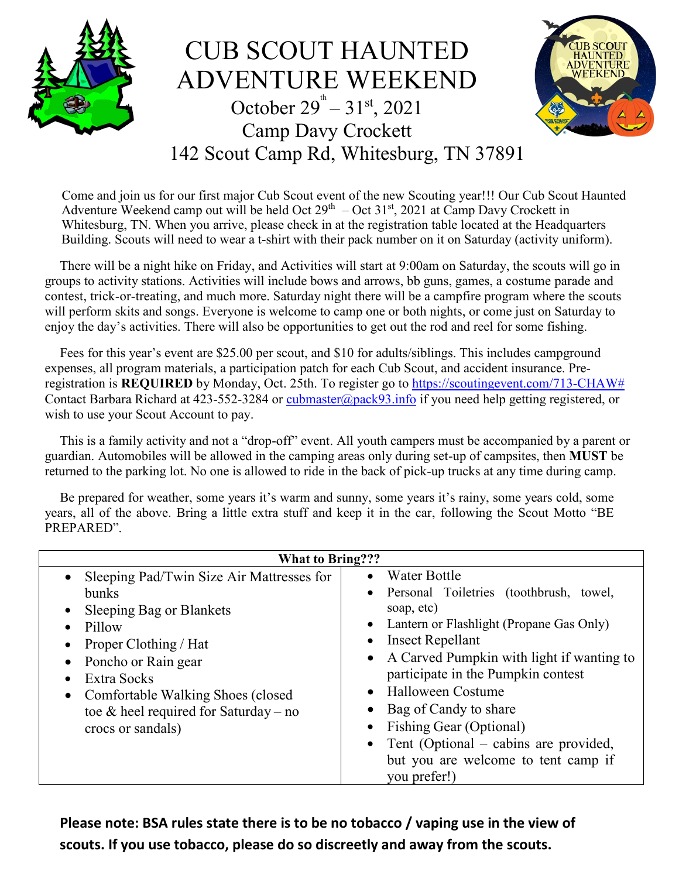

CUB SCOUT HAUNTED ADVENTURE WEEKEND October  $29^{\text{th}} - 31^{\text{st}}$ , 2021 Camp Davy Crockett 142 Scout Camp Rd, Whitesburg, TN 37891

![](_page_0_Picture_2.jpeg)

Come and join us for our first major Cub Scout event of the new Scouting year!!! Our Cub Scout Haunted Adventure Weekend camp out will be held Oct  $29<sup>th</sup> - Oct 31<sup>st</sup>$ , 2021 at Camp Davy Crockett in Whitesburg, TN. When you arrive, please check in at the registration table located at the Headquarters Building. Scouts will need to wear a t-shirt with their pack number on it on Saturday (activity uniform).

There will be a night hike on Friday, and Activities will start at 9:00am on Saturday, the scouts will go in groups to activity stations. Activities will include bows and arrows, bb guns, games, a costume parade and contest, trick-or-treating, and much more. Saturday night there will be a campfire program where the scouts will perform skits and songs. Everyone is welcome to camp one or both nights, or come just on Saturday to enjoy the day's activities. There will also be opportunities to get out the rod and reel for some fishing.

Fees for this year's event are \$25.00 per scout, and \$10 for adults/siblings. This includes campground expenses, all program materials, a participation patch for each Cub Scout, and accident insurance. Preregistration is **REQUIRED** by Monday, Oct. 25th. To register go to [https://scoutingevent.com/713-CHAW#](https://scoutingevent.com/713-CHAW%23) Contact Barbara Richard at 423-552-3284 or [cubmaster@pack93.info](mailto:cubmaster@pack93.info) if you need help getting registered, or wish to use your Scout Account to pay.

This is a family activity and not a "drop-off" event. All youth campers must be accompanied by a parent or guardian. Automobiles will be allowed in the camping areas only during set-up of campsites, then **MUST** be returned to the parking lot. No one is allowed to ride in the back of pick-up trucks at any time during camp.

Be prepared for weather, some years it's warm and sunny, some years it's rainy, some years cold, some years, all of the above. Bring a little extra stuff and keep it in the car, following the Scout Motto "BE PREPARED".

| <b>What to Bring???</b>                                                                                                                                                                                                                                                             |                                                                                                                                                                                                                                                                                                                                                                                                                                                                               |
|-------------------------------------------------------------------------------------------------------------------------------------------------------------------------------------------------------------------------------------------------------------------------------------|-------------------------------------------------------------------------------------------------------------------------------------------------------------------------------------------------------------------------------------------------------------------------------------------------------------------------------------------------------------------------------------------------------------------------------------------------------------------------------|
| • Sleeping Pad/Twin Size Air Mattresses for<br><b>bunks</b><br>• Sleeping Bag or Blankets<br>$\bullet$ Pillow<br>Proper Clothing / Hat<br>• Poncho or Rain gear<br>Extra Socks<br>• Comfortable Walking Shoes (closed<br>toe & heel required for Saturday – no<br>crocs or sandals) | Water Bottle<br>$\bullet$<br>Personal Toiletries (toothbrush, towel,<br>$\bullet$<br>soap, etc)<br>• Lantern or Flashlight (Propane Gas Only)<br><b>Insect Repellant</b><br>$\bullet$<br>• A Carved Pumpkin with light if wanting to<br>participate in the Pumpkin contest<br>Halloween Costume<br>$\bullet$<br>Bag of Candy to share<br>Fishing Gear (Optional)<br>Tent (Optional – cabins are provided,<br>$\bullet$<br>but you are welcome to tent camp if<br>you prefer!) |

**Please note: BSA rules state there is to be no tobacco / vaping use in the view of scouts. If you use tobacco, please do so discreetly and away from the scouts.**